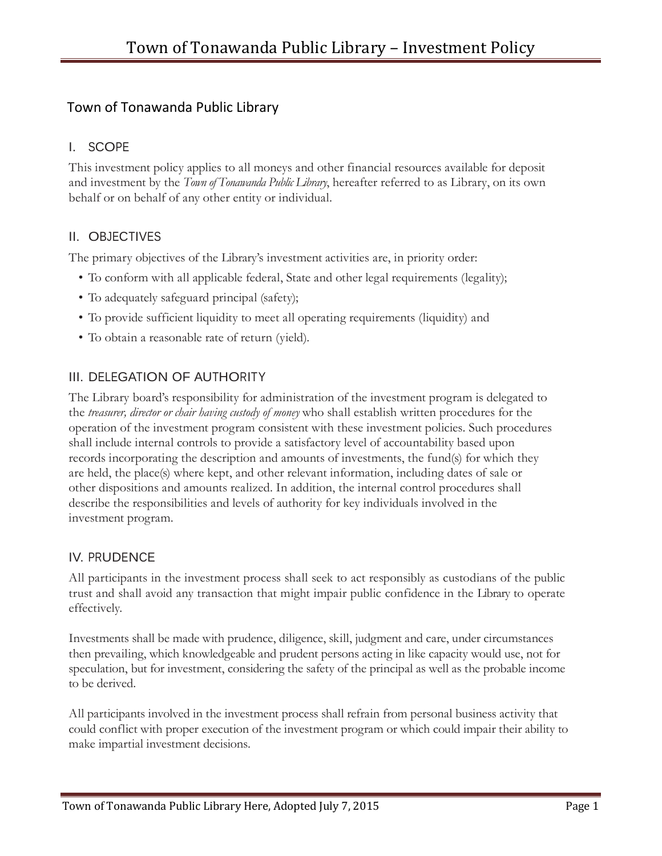# Town of Tonawanda Public Library

# I. SCOPE

This investment policy applies to all moneys and other financial resources available for deposit and investment by the *Town of Tonawanda Public Library*, hereafter referred to as Library, on its own behalf or on behalf of any other entity or individual.

## II. OBJECTIVES

The primary objectives of the Library's investment activities are, in priority order:

- To conform with all applicable federal, State and other legal requirements (legality);
- To adequately safeguard principal (safety);
- To provide sufficient liquidity to meet all operating requirements (liquidity) and
- To obtain a reasonable rate of return (yield).

# III. DELEGATION OF AUTHORITY

The Library board's responsibility for administration of the investment program is delegated to the *treasurer, director or chair having custody of money* who shall establish written procedures for the operation of the investment program consistent with these investment policies. Such procedures shall include internal controls to provide a satisfactory level of accountability based upon records incorporating the description and amounts of investments, the fund(s) for which they are held, the place(s) where kept, and other relevant information, including dates of sale or other dispositions and amounts realized. In addition, the internal control procedures shall describe the responsibilities and levels of authority for key individuals involved in the investment program.

#### IV. PRUDENCE

All participants in the investment process shall seek to act responsibly as custodians of the public trust and shall avoid any transaction that might impair public confidence in the Library to operate effectively.

Investments shall be made with prudence, diligence, skill, judgment and care, under circumstances then prevailing, which knowledgeable and prudent persons acting in like capacity would use, not for speculation, but for investment, considering the safety of the principal as well as the probable income to be derived.

All participants involved in the investment process shall refrain from personal business activity that could conflict with proper execution of the investment program or which could impair their ability to make impartial investment decisions.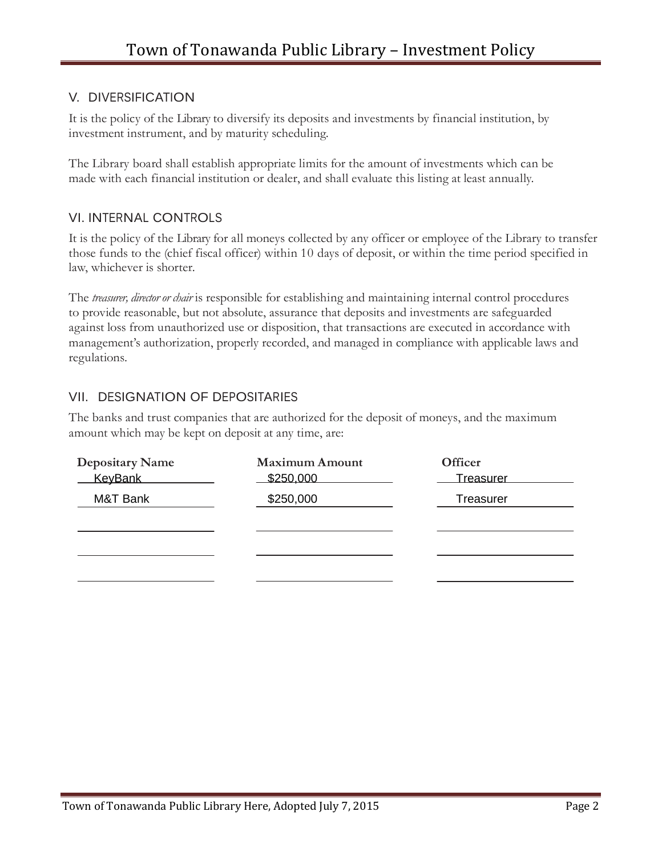### V. DIVERSIFICATION

It is the policy of the Library to diversify its deposits and investments by financial institution, by investment instrument, and by maturity scheduling.

The Library board shall establish appropriate limits for the amount of investments which can be made with each financial institution or dealer, and shall evaluate this listing at least annually.

#### VI. INTERNAL CONTROLS

It is the policy of the Library for all moneys collected by any officer or employee of the Library to transfer those funds to the (chief fiscal officer) within 10 days of deposit, or within the time period specified in law, whichever is shorter.

The *treasurer, director or chair* is responsible for establishing and maintaining internal control procedures to provide reasonable, but not absolute, assurance that deposits and investments are safeguarded against loss from unauthorized use or disposition, that transactions are executed in accordance with management's authorization, properly recorded, and managed in compliance with applicable laws and regulations.

# VII. DESIGNATION OF DEPOSITARIES

The banks and trust companies that are authorized for the deposit of moneys, and the maximum amount which may be kept on deposit at any time, are:

| <b>Depositary Name</b><br><b>KeyBank</b> | <b>Maximum Amount</b><br>\$250,000 | <b>Officer</b><br><b>Treasurer</b> |
|------------------------------------------|------------------------------------|------------------------------------|
| M&T Bank                                 | \$250,000                          | Treasurer                          |
|                                          |                                    |                                    |
|                                          |                                    |                                    |
|                                          |                                    |                                    |
|                                          |                                    |                                    |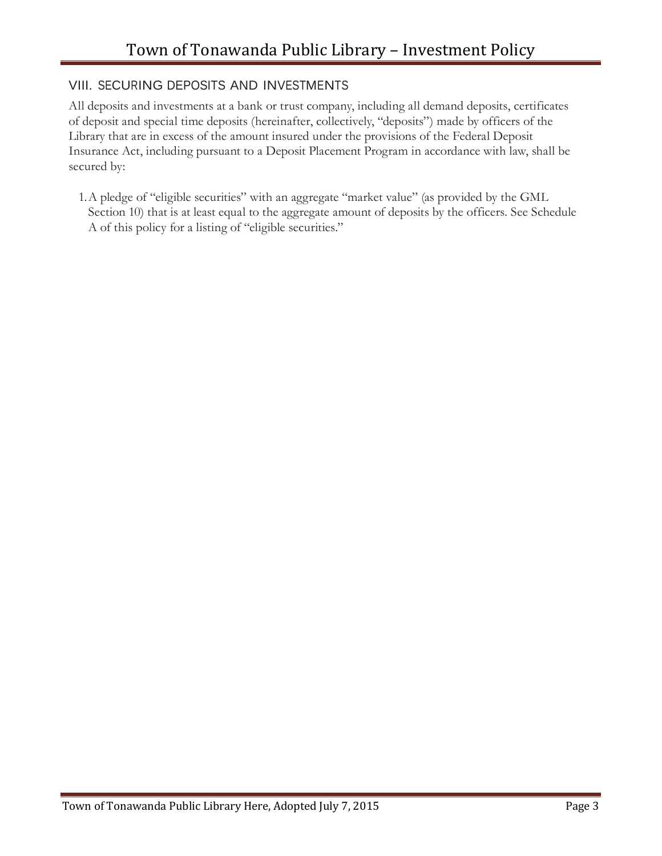#### VIII. SECURING DEPOSITS AND INVESTMENTS

All deposits and investments at a bank or trust company, including all demand deposits, certificates of deposit and special time deposits (hereinafter, collectively, "deposits") made by officers of the Library that are in excess of the amount insured under the provisions of the Federal Deposit Insurance Act, including pursuant to a Deposit Placement Program in accordance with law, shall be secured by:

1.A pledge of "eligible securities" with an aggregate "market value" (as provided by the GML Section 10) that is at least equal to the aggregate amount of deposits by the officers. See Schedule A of this policy for a listing of "eligible securities."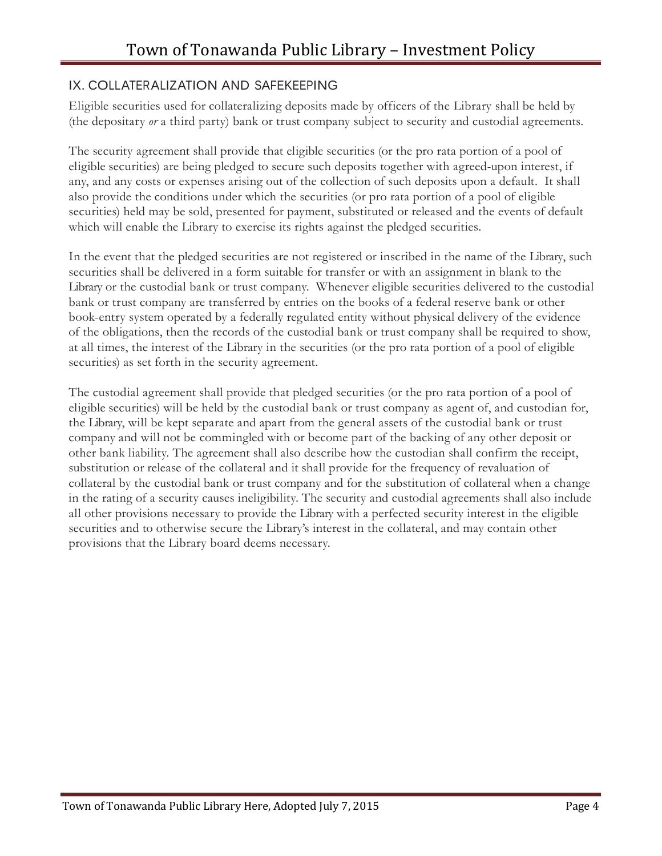### IX. COLLATERALIZATION AND SAFEKEEPING

Eligible securities used for collateralizing deposits made by officers of the Library shall be held by (the depositary *or* a third party) bank or trust company subject to security and custodial agreements.

The security agreement shall provide that eligible securities (or the pro rata portion of a pool of eligible securities) are being pledged to secure such deposits together with agreed-upon interest, if any, and any costs or expenses arising out of the collection of such deposits upon a default. It shall also provide the conditions under which the securities (or pro rata portion of a pool of eligible securities) held may be sold, presented for payment, substituted or released and the events of default which will enable the Library to exercise its rights against the pledged securities.

In the event that the pledged securities are not registered or inscribed in the name of the Library, such securities shall be delivered in a form suitable for transfer or with an assignment in blank to the Library or the custodial bank or trust company. Whenever eligible securities delivered to the custodial bank or trust company are transferred by entries on the books of a federal reserve bank or other book-entry system operated by a federally regulated entity without physical delivery of the evidence of the obligations, then the records of the custodial bank or trust company shall be required to show, at all times, the interest of the Library in the securities (or the pro rata portion of a pool of eligible securities) as set forth in the security agreement.

The custodial agreement shall provide that pledged securities (or the pro rata portion of a pool of eligible securities) will be held by the custodial bank or trust company as agent of, and custodian for, the Library, will be kept separate and apart from the general assets of the custodial bank or trust company and will not be commingled with or become part of the backing of any other deposit or other bank liability. The agreement shall also describe how the custodian shall confirm the receipt, substitution or release of the collateral and it shall provide for the frequency of revaluation of collateral by the custodial bank or trust company and for the substitution of collateral when a change in the rating of a security causes ineligibility. The security and custodial agreements shall also include all other provisions necessary to provide the Library with a perfected security interest in the eligible securities and to otherwise secure the Library's interest in the collateral, and may contain other provisions that the Library board deems necessary.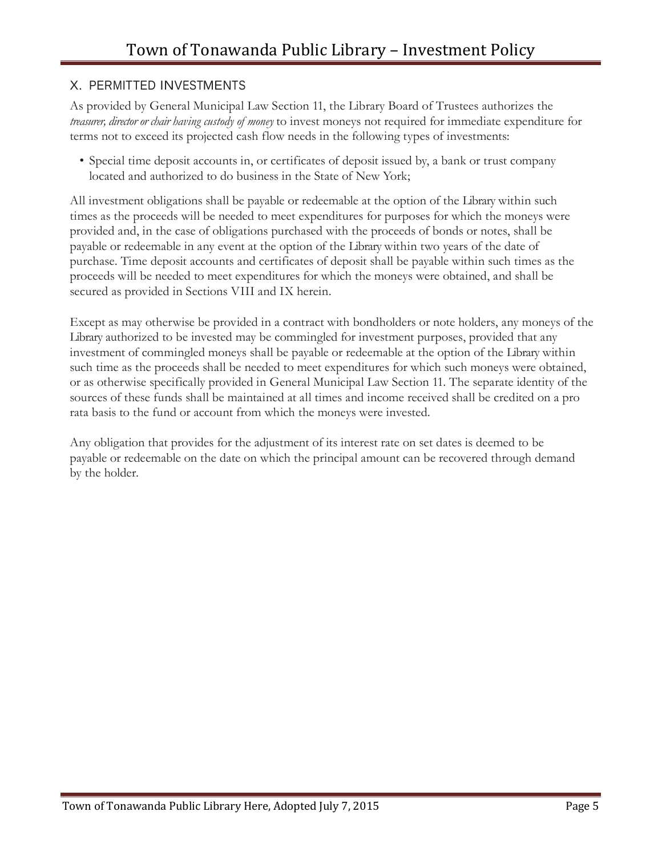### X. PERMITTED INVESTMENTS

As provided by General Municipal Law Section 11, the Library Board of Trustees authorizes the *treasurer, director or chair having custody of money* to invest moneys not required for immediate expenditure for terms not to exceed its projected cash flow needs in the following types of investments:

• Special time deposit accounts in, or certificates of deposit issued by, a bank or trust company located and authorized to do business in the State of New York;

All investment obligations shall be payable or redeemable at the option of the Library within such times as the proceeds will be needed to meet expenditures for purposes for which the moneys were provided and, in the case of obligations purchased with the proceeds of bonds or notes, shall be payable or redeemable in any event at the option of the Library within two years of the date of purchase. Time deposit accounts and certificates of deposit shall be payable within such times as the proceeds will be needed to meet expenditures for which the moneys were obtained, and shall be secured as provided in Sections VIII and IX herein.

Except as may otherwise be provided in a contract with bondholders or note holders, any moneys of the Library authorized to be invested may be commingled for investment purposes, provided that any investment of commingled moneys shall be payable or redeemable at the option of the Library within such time as the proceeds shall be needed to meet expenditures for which such moneys were obtained, or as otherwise specifically provided in General Municipal Law Section 11. The separate identity of the sources of these funds shall be maintained at all times and income received shall be credited on a pro rata basis to the fund or account from which the moneys were invested.

Any obligation that provides for the adjustment of its interest rate on set dates is deemed to be payable or redeemable on the date on which the principal amount can be recovered through demand by the holder.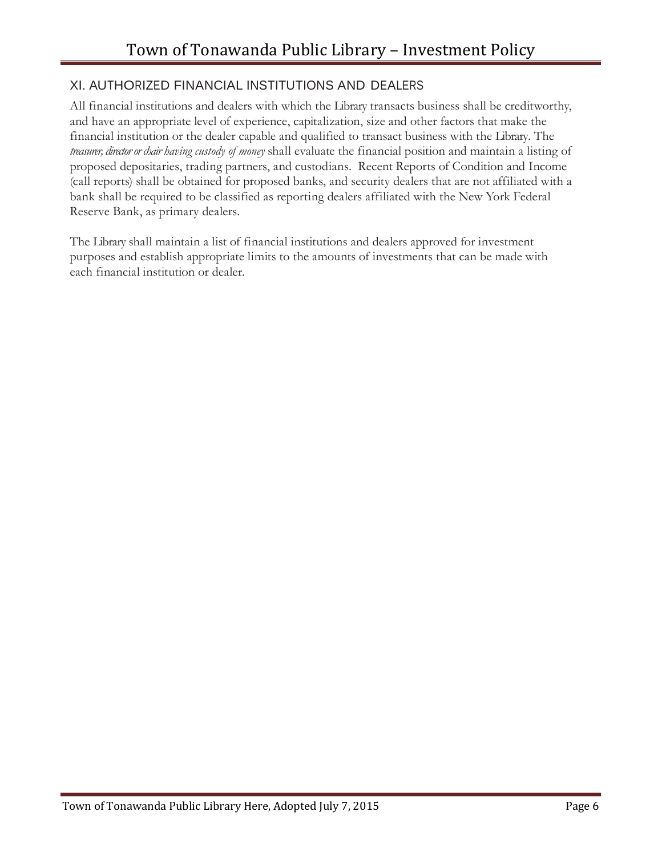## XI. AUTHORIZED FINANCIAL INSTITUTIONS AND DEALERS

All financial institutions and dealers with which the Library transacts business shall be creditworthy, and have an appropriate level of experience, capitalization, size and other factors that make the financial institution or the dealer capable and qualified to transact business with the Library. The *treasurer, director or chair having custody of money* shall evaluate the financial position and maintain a listing of proposed depositaries, trading partners, and custodians. Recent Reports of Condition and Income (call reports) shall be obtained for proposed banks, and security dealers that are not affiliated with a bank shall be required to be classified as reporting dealers affiliated with the New York Federal Reserve Bank, as primary dealers.

The Library shall maintain a list of financial institutions and dealers approved for investment purposes and establish appropriate limits to the amounts of investments that can be made with each financial institution or dealer.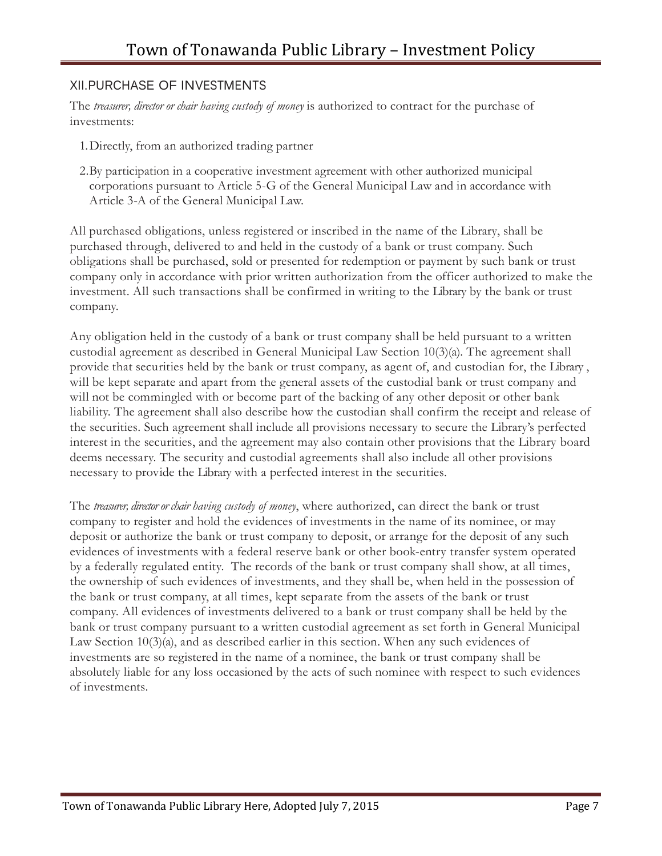#### XII.PURCHASE OF INVESTMENTS

The *treasurer, director or chair having custody of money* is authorized to contract for the purchase of investments:

- 1.Directly, from an authorized trading partner
- 2.By participation in a cooperative investment agreement with other authorized municipal corporations pursuant to Article 5-G of the General Municipal Law and in accordance with Article 3-A of the General Municipal Law.

All purchased obligations, unless registered or inscribed in the name of the Library, shall be purchased through, delivered to and held in the custody of a bank or trust company. Such obligations shall be purchased, sold or presented for redemption or payment by such bank or trust company only in accordance with prior written authorization from the officer authorized to make the investment. All such transactions shall be confirmed in writing to the Library by the bank or trust company.

Any obligation held in the custody of a bank or trust company shall be held pursuant to a written custodial agreement as described in General Municipal Law Section 10(3)(a). The agreement shall provide that securities held by the bank or trust company, as agent of, and custodian for, the Library , will be kept separate and apart from the general assets of the custodial bank or trust company and will not be commingled with or become part of the backing of any other deposit or other bank liability. The agreement shall also describe how the custodian shall confirm the receipt and release of the securities. Such agreement shall include all provisions necessary to secure the Library's perfected interest in the securities, and the agreement may also contain other provisions that the Library board deems necessary. The security and custodial agreements shall also include all other provisions necessary to provide the Library with a perfected interest in the securities.

The *treasurer, director or chair having custody of money*, where authorized, can direct the bank or trust company to register and hold the evidences of investments in the name of its nominee, or may deposit or authorize the bank or trust company to deposit, or arrange for the deposit of any such evidences of investments with a federal reserve bank or other book-entry transfer system operated by a federally regulated entity. The records of the bank or trust company shall show, at all times, the ownership of such evidences of investments, and they shall be, when held in the possession of the bank or trust company, at all times, kept separate from the assets of the bank or trust company. All evidences of investments delivered to a bank or trust company shall be held by the bank or trust company pursuant to a written custodial agreement as set forth in General Municipal Law Section 10(3)(a), and as described earlier in this section. When any such evidences of investments are so registered in the name of a nominee, the bank or trust company shall be absolutely liable for any loss occasioned by the acts of such nominee with respect to such evidences of investments.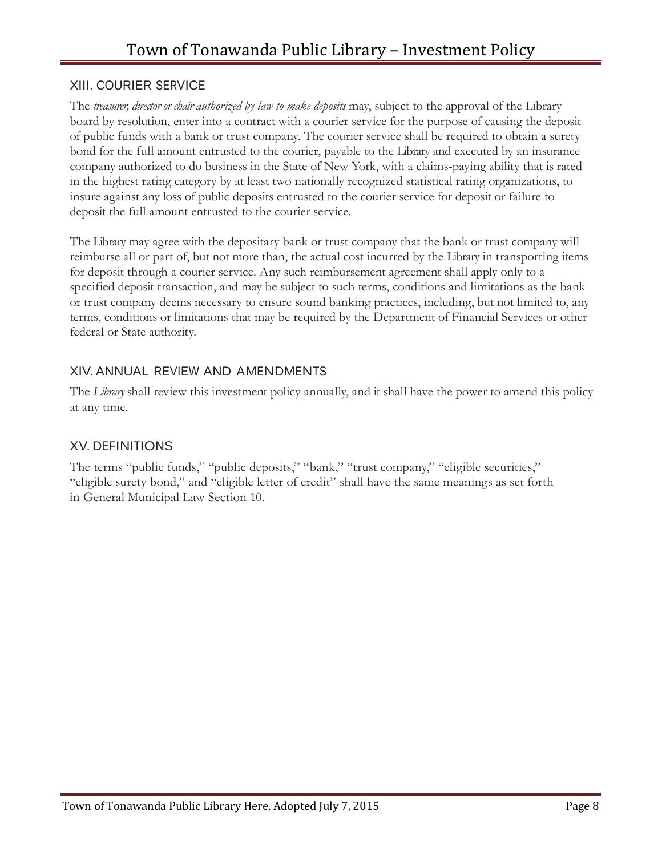#### XIII. COURIER SERVICE

The *treasurer, director or chair authorized by law to make deposits* may, subject to the approval of the Library board by resolution, enter into a contract with a courier service for the purpose of causing the deposit of public funds with a bank or trust company. The courier service shall be required to obtain a surety bond for the full amount entrusted to the courier, payable to the Library and executed by an insurance company authorized to do business in the State of New York, with a claims-paying ability that is rated in the highest rating category by at least two nationally recognized statistical rating organizations, to insure against any loss of public deposits entrusted to the courier service for deposit or failure to deposit the full amount entrusted to the courier service.

The Library may agree with the depositary bank or trust company that the bank or trust company will reimburse all or part of, but not more than, the actual cost incurred by the Library in transporting items for deposit through a courier service. Any such reimbursement agreement shall apply only to a specified deposit transaction, and may be subject to such terms, conditions and limitations as the bank or trust company deems necessary to ensure sound banking practices, including, but not limited to, any terms, conditions or limitations that may be required by the Department of Financial Services or other federal or State authority.

# XIV. ANNUAL REVIEW AND AMENDMENTS

The *Library* shall review this investment policy annually, and it shall have the power to amend this policy at any time.

#### XV. DEFINITIONS

The terms "public funds," "public deposits," "bank," "trust company," "eligible securities," "eligible surety bond," and "eligible letter of credit" shall have the same meanings as set forth in General Municipal Law Section 10.